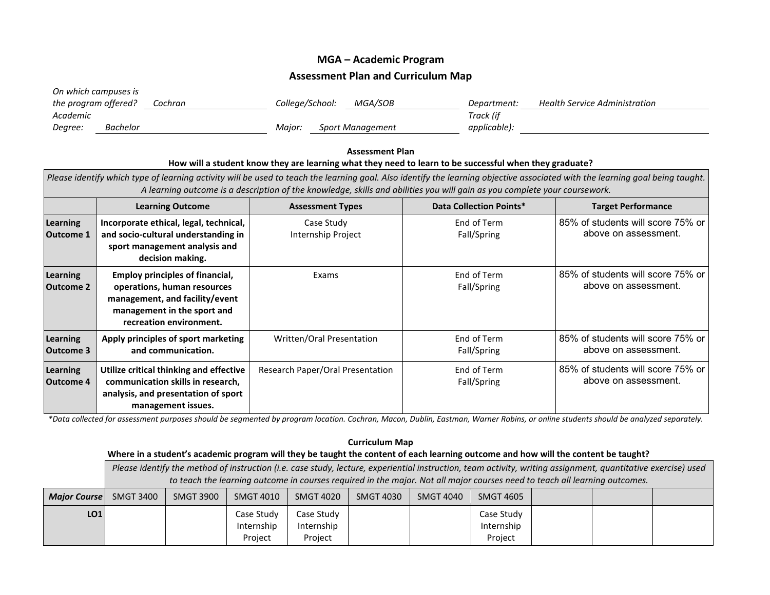## **MGA – Academic Program Assessment Plan and Curriculum Map**

| On which campuses is |          |         |                 |                         |              |                               |
|----------------------|----------|---------|-----------------|-------------------------|--------------|-------------------------------|
| the program offered? |          | Cochran | College/School: | MGA/SOB                 | Department:  | Health Service Administration |
| Academic             |          |         |                 |                         | Track (if    |                               |
| Degree:              | Bachelor |         | Maior:          | <b>Sport Management</b> | applicable): |                               |

## **Assessment Plan How will a student know they are learning what they need to learn to be successful when they graduate?** *Please identify which type of learning activity will be used to teach the learning goal. Also identify the learning objective associated with the learning goal being taught. A learning outcome is a description of the knowledge, skills and abilities you will gain as you complete your coursework.* **Learning Outcome Assessment Types Data Collection Points\* Target Performance Learning Outcome 1 Incorporate ethical, legal, technical, and socio-cultural understanding in sport management analysis and decision making.** Case Study Internship Project End of Term Fall/Spring 85% of students will score 75% or above on assessment. **Learning Outcome 2 Employ principles of financial, operations, human resources management, and facility/event management in the sport and recreation environment.** Exams and the set of Term Fall/Spring 85% of students will score 75% or above on assessment. **Learning Outcome 3 Apply principles of sport marketing and communication.** Written/Oral Presentation Franch Control End of Term Fall/Spring 85% of students will score 75% or above on assessment. **Learning Outcome 4 Utilize critical thinking and effective communication skills in research, analysis, and presentation of sport management issues.**  Research Paper/Oral Presentation | End of Term Fall/Spring 85% of students will score 75% or above on assessment.

*\*Data collected for assessment purposes should be segmented by program location. Cochran, Macon, Dublin, Eastman, Warner Robins, or online students should be analyzed separately.*

## **Curriculum Map Where in a student's academic program will they be taught the content of each learning outcome and how will the content be taught?** *Please identify the method of instruction (i.e. case study, lecture, experiential instruction, team activity, writing assignment, quantitative exercise) used to teach the learning outcome in courses required in the major. Not all major courses need to teach all learning outcomes. Major Course* | SMGT 3400 | SMGT 3900 | SMGT 4010 | SMGT 4020 | SMGT 4030 | SMGT 4040 | SMGT 4605 LO1 Case Study Internship Project Case Study Internship Project Case Study Internship Project